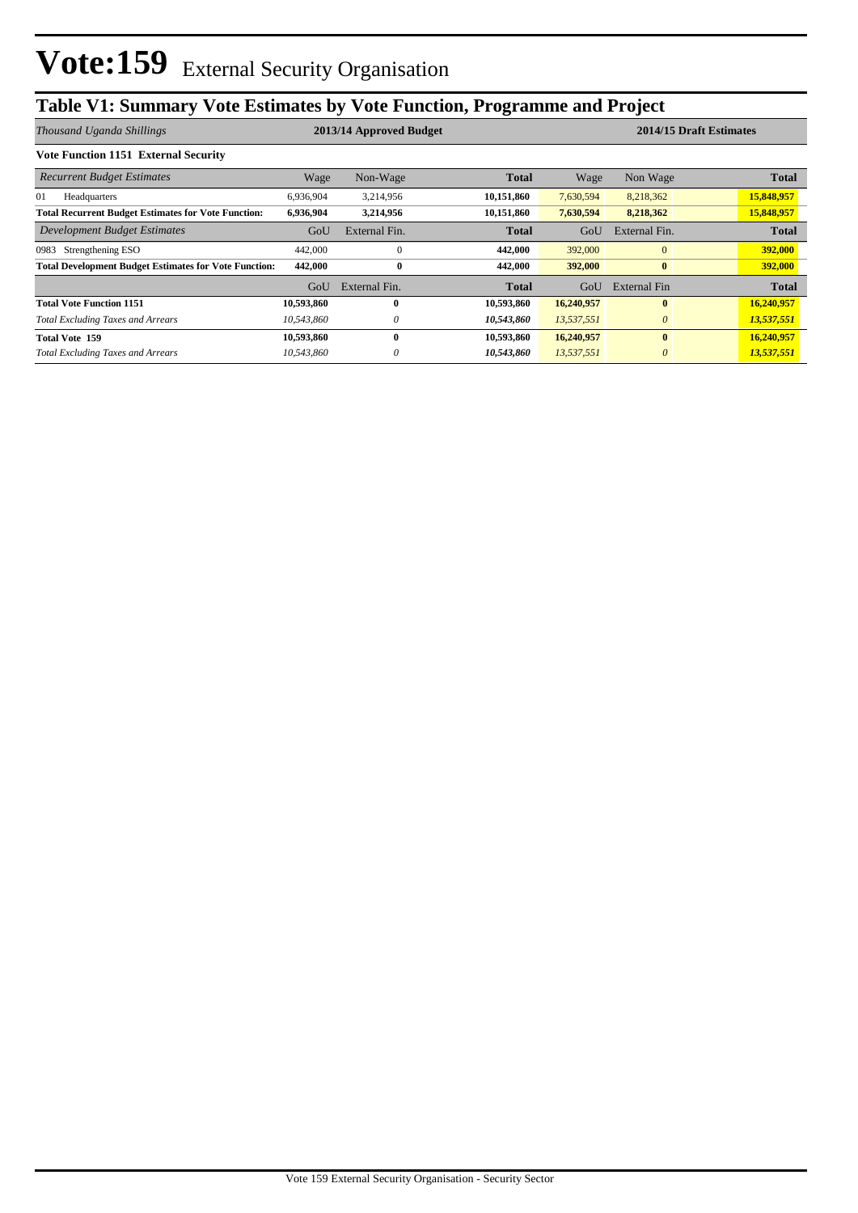## **Table V1: Summary Vote Estimates by Vote Function, Programme and Project**

| Thousand Uganda Shillings                                    | 2013/14 Approved Budget |               |              |            | 2014/15 Draft Estimates |              |  |
|--------------------------------------------------------------|-------------------------|---------------|--------------|------------|-------------------------|--------------|--|
| <b>Vote Function 1151 External Security</b>                  |                         |               |              |            |                         |              |  |
| <b>Recurrent Budget Estimates</b>                            | Wage                    | Non-Wage      | <b>Total</b> | Wage       | Non Wage                | <b>Total</b> |  |
| 01<br>Headquarters                                           | 6,936,904               | 3,214,956     | 10,151,860   | 7,630,594  | 8,218,362               | 15,848,957   |  |
| <b>Total Recurrent Budget Estimates for Vote Function:</b>   | 6,936,904               | 3,214,956     | 10,151,860   | 7,630,594  | 8,218,362               | 15,848,957   |  |
| Development Budget Estimates                                 | GoU                     | External Fin. | <b>Total</b> | GoU        | External Fin.           | <b>Total</b> |  |
| Strengthening ESO<br>0983                                    | 442,000                 | $\mathbf{0}$  | 442,000      | 392,000    | $\overline{0}$          | 392,000      |  |
| <b>Total Development Budget Estimates for Vote Function:</b> | 442,000                 | 0             | 442,000      | 392,000    | $\bf{0}$                | 392,000      |  |
|                                                              | GoU                     | External Fin. | Total        | GoU        | External Fin            | <b>Total</b> |  |
| <b>Total Vote Function 1151</b>                              | 10,593,860              | 0             | 10,593,860   | 16,240,957 | $\mathbf{0}$            | 16,240,957   |  |
| <b>Total Excluding Taxes and Arrears</b>                     | 10,543,860              | 0             | 10,543,860   | 13,537,551 | $\theta$                | 13,537,551   |  |
| <b>Total Vote 159</b>                                        | 10,593,860              | $\bf{0}$      | 10,593,860   | 16,240,957 | $\bf{0}$                | 16,240,957   |  |
| <b>Total Excluding Taxes and Arrears</b>                     | 10,543,860              |               | 10,543,860   | 13,537,551 | $\theta$                | 13,537,551   |  |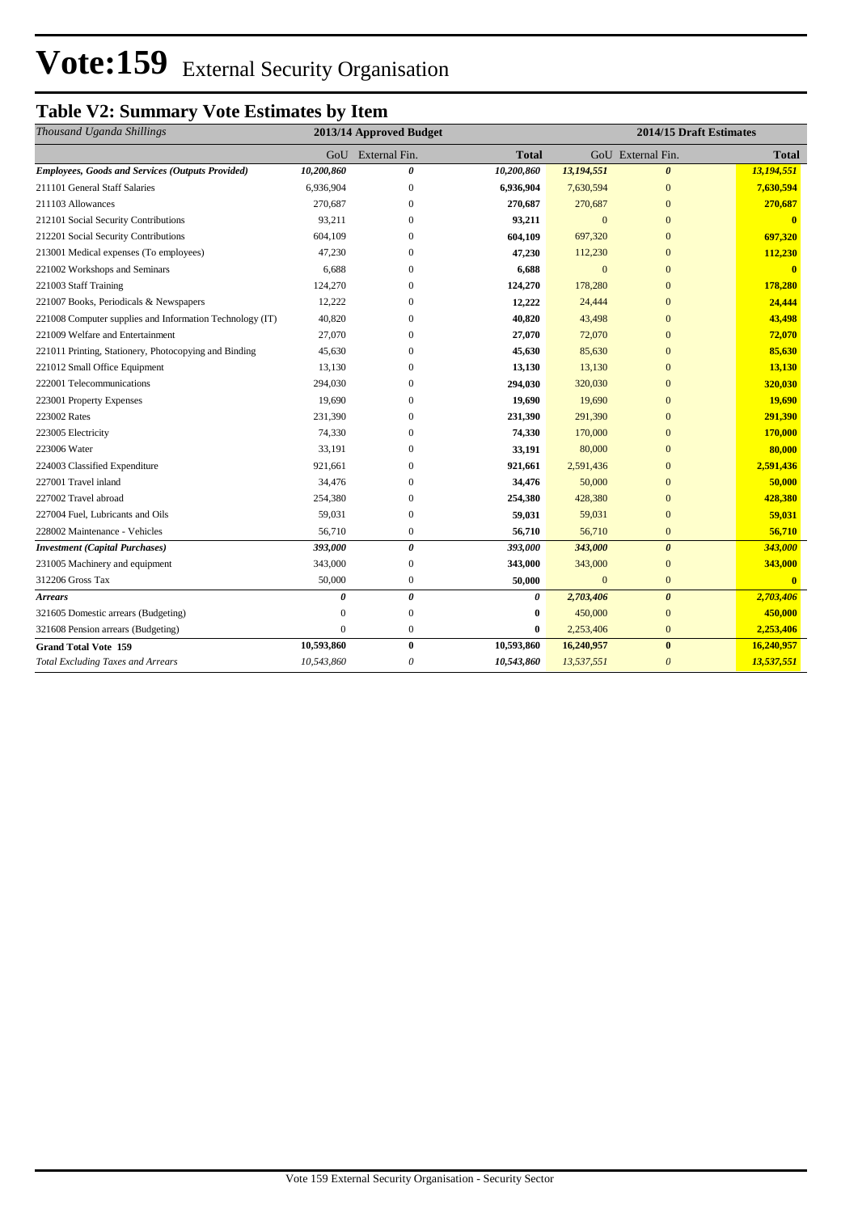# **Vote:159** External Security Organisation

## **Table V2: Summary Vote Estimates by Item**

| Thousand Uganda Shillings                                | 2013/14 Approved Budget |                  |              | 2014/15 Draft Estimates |                       |              |
|----------------------------------------------------------|-------------------------|------------------|--------------|-------------------------|-----------------------|--------------|
|                                                          | $G_{O}U$                | External Fin.    | <b>Total</b> |                         | GoU External Fin.     | <b>Total</b> |
| <b>Employees, Goods and Services (Outputs Provided)</b>  | 10,200,860              | 0                | 10,200,860   | 13,194,551              | $\boldsymbol{\theta}$ | 13,194,551   |
| 211101 General Staff Salaries                            | 6,936,904               | $\overline{0}$   | 6,936,904    | 7,630,594               | $\mathbf{0}$          | 7,630,594    |
| 211103 Allowances                                        | 270,687                 | $\mathbf{0}$     | 270,687      | 270,687                 | $\overline{0}$        | 270,687      |
| 212101 Social Security Contributions                     | 93,211                  | $\Omega$         | 93,211       | $\overline{0}$          | $\overline{0}$        |              |
| 212201 Social Security Contributions                     | 604,109                 | $\mathbf{0}$     | 604,109      | 697,320                 | $\overline{0}$        | 697,320      |
| 213001 Medical expenses (To employees)                   | 47,230                  | $\mathbf{0}$     | 47,230       | 112,230                 | $\overline{0}$        | 112,230      |
| 221002 Workshops and Seminars                            | 6,688                   | $\mathbf{0}$     | 6,688        | $\mathbf{0}$            | $\overline{0}$        | $\mathbf{0}$ |
| 221003 Staff Training                                    | 124,270                 | $\Omega$         | 124,270      | 178,280                 | $\mathbf{0}$          | 178,280      |
| 221007 Books, Periodicals & Newspapers                   | 12,222                  | $\Omega$         | 12,222       | 24,444                  | $\overline{0}$        | 24,444       |
| 221008 Computer supplies and Information Technology (IT) | 40,820                  | $\Omega$         | 40,820       | 43,498                  | $\overline{0}$        | 43,498       |
| 221009 Welfare and Entertainment                         | 27,070                  | $\mathbf{0}$     | 27,070       | 72,070                  | $\overline{0}$        | 72,070       |
| 221011 Printing, Stationery, Photocopying and Binding    | 45,630                  | $\mathbf{0}$     | 45,630       | 85,630                  | $\overline{0}$        | 85,630       |
| 221012 Small Office Equipment                            | 13,130                  | $\Omega$         | 13,130       | 13,130                  | $\overline{0}$        | 13,130       |
| 222001 Telecommunications                                | 294,030                 | $\mathbf{0}$     | 294,030      | 320,030                 | $\overline{0}$        | 320,030      |
| 223001 Property Expenses                                 | 19,690                  | $\Omega$         | 19,690       | 19,690                  | $\overline{0}$        | 19,690       |
| 223002 Rates                                             | 231,390                 | $\mathbf{0}$     | 231,390      | 291,390                 | $\overline{0}$        | 291,390      |
| 223005 Electricity                                       | 74,330                  | $\mathbf{0}$     | 74,330       | 170,000                 | $\overline{0}$        | 170,000      |
| 223006 Water                                             | 33,191                  | $\mathbf{0}$     | 33,191       | 80,000                  | $\overline{0}$        | 80,000       |
| 224003 Classified Expenditure                            | 921,661                 | $\mathbf{0}$     | 921,661      | 2,591,436               | $\overline{0}$        | 2,591,436    |
| 227001 Travel inland                                     | 34,476                  | $\overline{0}$   | 34,476       | 50,000                  | $\mathbf{0}$          | 50,000       |
| 227002 Travel abroad                                     | 254,380                 | $\mathbf{0}$     | 254,380      | 428,380                 | $\overline{0}$        | 428,380      |
| 227004 Fuel, Lubricants and Oils                         | 59,031                  | $\mathbf{0}$     | 59,031       | 59,031                  | $\overline{0}$        | 59,031       |
| 228002 Maintenance - Vehicles                            | 56,710                  | $\mathbf{0}$     | 56,710       | 56,710                  | $\overline{0}$        | 56,710       |
| <b>Investment</b> (Capital Purchases)                    | 393,000                 | 0                | 393,000      | 343,000                 | $\boldsymbol{\theta}$ | 343,000      |
| 231005 Machinery and equipment                           | 343,000                 | $\boldsymbol{0}$ | 343,000      | 343,000                 | $\mathbf{0}$          | 343,000      |
| 312206 Gross Tax                                         | 50,000                  | $\mathbf{0}$     | 50,000       | $\mathbf{0}$            | $\boldsymbol{0}$      | $\mathbf{0}$ |
| <b>Arrears</b>                                           | 0                       | 0                | 0            | 2,703,406               | $\boldsymbol{\theta}$ | 2,703,406    |
| 321605 Domestic arrears (Budgeting)                      | $\Omega$                | $\mathbf{0}$     | 0            | 450,000                 | $\overline{0}$        | 450,000      |
| 321608 Pension arrears (Budgeting)                       | $\theta$                | $\mathbf{0}$     | $\bf{0}$     | 2,253,406               | $\overline{0}$        | 2,253,406    |
| <b>Grand Total Vote 159</b>                              | 10,593,860              | $\bf{0}$         | 10,593,860   | 16,240,957              | $\bf{0}$              | 16,240,957   |
| <b>Total Excluding Taxes and Arrears</b>                 | 10,543,860              | 0                | 10,543,860   | 13,537,551              | $\theta$              | 13,537,551   |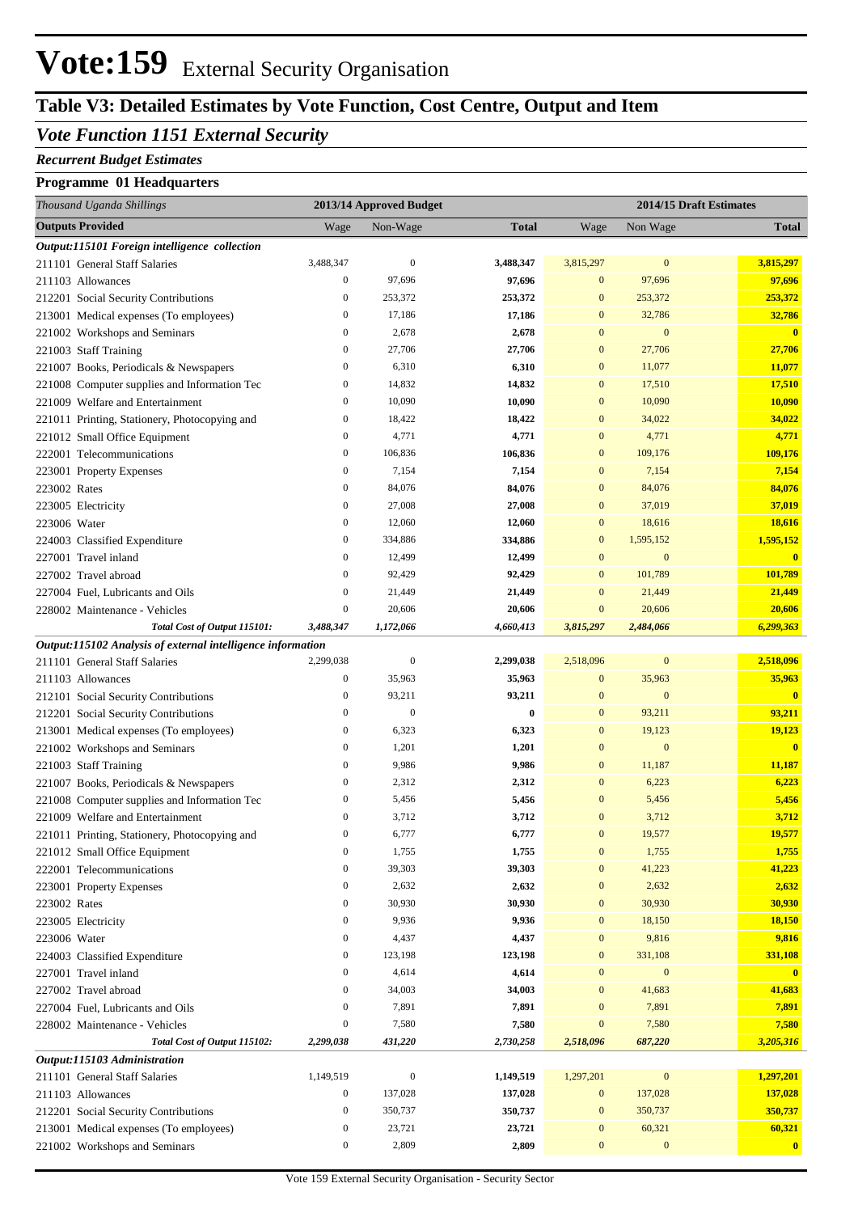## **Vote:159** External Security Organisation

## **Table V3: Detailed Estimates by Vote Function, Cost Centre, Output and Item**

#### *Vote Function 1151 External Security*

#### *Recurrent Budget Estimates*

#### **Programme 01 Headquarters**

| Thousand Uganda Shillings                                   |                  | 2013/14 Approved Budget<br>2014/15 Draft Estimates |              |                  |                  |                         |
|-------------------------------------------------------------|------------------|----------------------------------------------------|--------------|------------------|------------------|-------------------------|
| <b>Outputs Provided</b>                                     | Wage             | Non-Wage                                           | <b>Total</b> | Wage             | Non Wage         | <b>Total</b>            |
| Output:115101 Foreign intelligence collection               |                  |                                                    |              |                  |                  |                         |
| 211101 General Staff Salaries                               | 3,488,347        | $\boldsymbol{0}$                                   | 3,488,347    | 3,815,297        | $\boldsymbol{0}$ | 3,815,297               |
| 211103 Allowances                                           | $\boldsymbol{0}$ | 97,696                                             | 97,696       | $\boldsymbol{0}$ | 97,696           | 97,696                  |
| 212201 Social Security Contributions                        | $\boldsymbol{0}$ | 253,372                                            | 253,372      | $\boldsymbol{0}$ | 253,372          | 253,372                 |
| 213001 Medical expenses (To employees)                      | $\boldsymbol{0}$ | 17,186                                             | 17,186       | $\mathbf{0}$     | 32,786           | 32,786                  |
| 221002 Workshops and Seminars                               | $\boldsymbol{0}$ | 2,678                                              | 2,678        | $\mathbf{0}$     | $\boldsymbol{0}$ | $\mathbf{0}$            |
| 221003 Staff Training                                       | $\boldsymbol{0}$ | 27,706                                             | 27,706       | $\mathbf{0}$     | 27,706           | 27,706                  |
| 221007 Books, Periodicals & Newspapers                      | $\boldsymbol{0}$ | 6,310                                              | 6,310        | $\mathbf{0}$     | 11,077           | 11,077                  |
| 221008 Computer supplies and Information Tec                | $\boldsymbol{0}$ | 14,832                                             | 14,832       | $\mathbf{0}$     | 17,510           | 17,510                  |
| 221009 Welfare and Entertainment                            | $\boldsymbol{0}$ | 10,090                                             | 10,090       | $\mathbf{0}$     | 10,090           | 10,090                  |
| 221011 Printing, Stationery, Photocopying and               | $\boldsymbol{0}$ | 18,422                                             | 18,422       | $\mathbf{0}$     | 34,022           | 34,022                  |
| 221012 Small Office Equipment                               | $\boldsymbol{0}$ | 4,771                                              | 4,771        | $\mathbf{0}$     | 4,771            | 4,771                   |
| 222001 Telecommunications                                   | $\boldsymbol{0}$ | 106,836                                            | 106,836      | $\mathbf{0}$     | 109,176          | 109,176                 |
| 223001 Property Expenses                                    | $\boldsymbol{0}$ | 7,154                                              | 7,154        | $\mathbf{0}$     | 7,154            | 7,154                   |
| 223002 Rates                                                | $\boldsymbol{0}$ | 84,076                                             | 84,076       | $\mathbf{0}$     | 84,076           | 84,076                  |
| 223005 Electricity                                          | $\boldsymbol{0}$ | 27,008                                             | 27,008       | $\mathbf{0}$     | 37,019           | 37,019                  |
| 223006 Water                                                | $\boldsymbol{0}$ | 12,060                                             | 12,060       | $\mathbf{0}$     | 18,616           | 18,616                  |
| 224003 Classified Expenditure                               | $\boldsymbol{0}$ | 334,886                                            | 334,886      | $\boldsymbol{0}$ | 1,595,152        | 1,595,152               |
| 227001 Travel inland                                        | $\boldsymbol{0}$ | 12,499                                             | 12,499       | $\mathbf{0}$     | $\boldsymbol{0}$ | $\mathbf{0}$            |
| 227002 Travel abroad                                        | $\boldsymbol{0}$ | 92,429                                             | 92,429       | $\mathbf{0}$     | 101,789          | 101,789                 |
| 227004 Fuel, Lubricants and Oils                            | $\boldsymbol{0}$ | 21,449                                             | 21,449       | $\mathbf{0}$     | 21,449           | 21,449                  |
| 228002 Maintenance - Vehicles                               | $\boldsymbol{0}$ | 20,606                                             | 20,606       | $\mathbf{0}$     | 20,606           | 20,606                  |
| Total Cost of Output 115101:                                | 3,488,347        | 1,172,066                                          | 4,660,413    | 3,815,297        | 2,484,066        | 6,299,363               |
| Output:115102 Analysis of external intelligence information |                  |                                                    |              |                  |                  |                         |
| 211101 General Staff Salaries                               | 2,299,038        | $\boldsymbol{0}$                                   | 2,299,038    | 2,518,096        | $\boldsymbol{0}$ | 2,518,096               |
| 211103 Allowances                                           | $\boldsymbol{0}$ | 35,963                                             | 35,963       | $\boldsymbol{0}$ | 35,963           | 35,963                  |
| 212101 Social Security Contributions                        | $\boldsymbol{0}$ | 93,211                                             | 93,211       | $\mathbf{0}$     | $\boldsymbol{0}$ | $\mathbf{0}$            |
| 212201 Social Security Contributions                        | $\boldsymbol{0}$ | $\mathbf{0}$                                       | $\bf{0}$     | $\mathbf{0}$     | 93,211           | 93,211                  |
| 213001 Medical expenses (To employees)                      | $\boldsymbol{0}$ | 6,323                                              | 6,323        | $\mathbf{0}$     | 19,123           | 19,123                  |
| 221002 Workshops and Seminars                               | $\boldsymbol{0}$ | 1,201                                              | 1,201        | $\mathbf{0}$     | $\boldsymbol{0}$ | $\mathbf{0}$            |
| 221003 Staff Training                                       | $\boldsymbol{0}$ | 9,986                                              | 9,986        | $\mathbf{0}$     | 11,187           | 11,187                  |
| 221007 Books, Periodicals & Newspapers                      | $\boldsymbol{0}$ | 2,312                                              | 2,312        | $\mathbf{0}$     | 6,223            | 6,223                   |
| 221008 Computer supplies and Information Tec                | $\boldsymbol{0}$ | 5,456                                              | 5,456        | $\mathbf{0}$     | 5,456            | 5,456                   |
| 221009 Welfare and Entertainment                            | $\boldsymbol{0}$ | 3,712                                              | 3,712        | $\mathbf{0}$     | 3,712            | 3,712                   |
| 221011 Printing, Stationery, Photocopying and               | $\boldsymbol{0}$ | 6,777                                              | 6,777        | $\mathbf{0}$     | 19,577           | 19,577                  |
| 221012 Small Office Equipment                               | $\boldsymbol{0}$ | 1,755                                              | 1,755        | $\boldsymbol{0}$ | 1,755            | 1,755                   |
| 222001 Telecommunications                                   | $\boldsymbol{0}$ | 39,303                                             | 39,303       | $\mathbf{0}$     | 41,223           | 41,223                  |
| 223001 Property Expenses                                    | $\boldsymbol{0}$ | 2,632                                              | 2,632        | $\mathbf{0}$     | 2,632            | 2,632                   |
| 223002 Rates                                                | $\boldsymbol{0}$ | 30,930                                             | 30,930       | $\boldsymbol{0}$ | 30,930           | 30,930                  |
| 223005 Electricity                                          | $\boldsymbol{0}$ | 9,936                                              | 9,936        | $\mathbf{0}$     | 18,150           | 18,150                  |
| 223006 Water                                                | $\boldsymbol{0}$ | 4,437                                              | 4,437        | $\boldsymbol{0}$ | 9,816            | 9,816                   |
| 224003 Classified Expenditure                               | $\boldsymbol{0}$ | 123,198                                            | 123,198      | $\mathbf{0}$     | 331,108          | 331,108                 |
| 227001 Travel inland                                        | $\boldsymbol{0}$ | 4,614                                              | 4,614        | $\mathbf{0}$     | $\boldsymbol{0}$ | $\overline{\mathbf{0}}$ |
| 227002 Travel abroad                                        | $\boldsymbol{0}$ | 34,003                                             | 34,003       | $\mathbf{0}$     | 41,683           | 41,683                  |
| 227004 Fuel, Lubricants and Oils                            | $\boldsymbol{0}$ | 7,891                                              | 7,891        | $\mathbf{0}$     | 7,891            | 7,891                   |
| 228002 Maintenance - Vehicles                               | $\boldsymbol{0}$ | 7,580                                              | 7,580        | $\mathbf{0}$     | 7,580            | 7,580                   |
| Total Cost of Output 115102:                                | 2,299,038        | 431,220                                            | 2,730,258    | 2,518,096        | 687,220          | 3,205,316               |
| Output:115103 Administration                                |                  |                                                    |              |                  |                  |                         |
| 211101 General Staff Salaries                               | 1,149,519        | $\boldsymbol{0}$                                   | 1,149,519    | 1,297,201        | $\boldsymbol{0}$ | 1,297,201               |
| 211103 Allowances                                           | $\boldsymbol{0}$ | 137,028                                            | 137,028      | $\boldsymbol{0}$ | 137,028          | 137,028                 |
| 212201 Social Security Contributions                        | $\boldsymbol{0}$ | 350,737                                            | 350,737      | $\mathbf{0}$     | 350,737          | 350,737                 |
| 213001 Medical expenses (To employees)                      | $\boldsymbol{0}$ | 23,721                                             | 23,721       | $\boldsymbol{0}$ | 60,321           | 60,321                  |
| 221002 Workshops and Seminars                               | $\boldsymbol{0}$ | 2,809                                              | 2,809        | $\boldsymbol{0}$ | $\boldsymbol{0}$ | $\mathbf{0}$            |